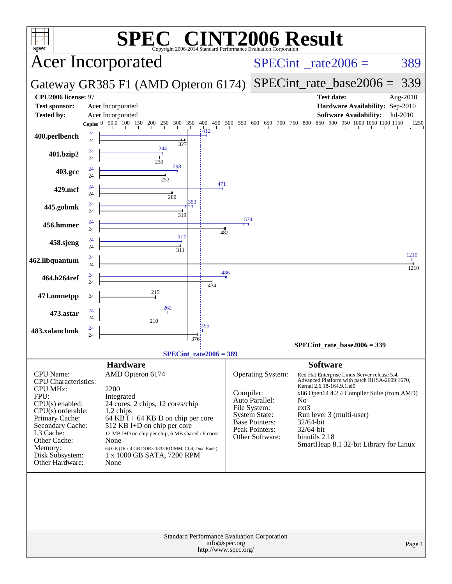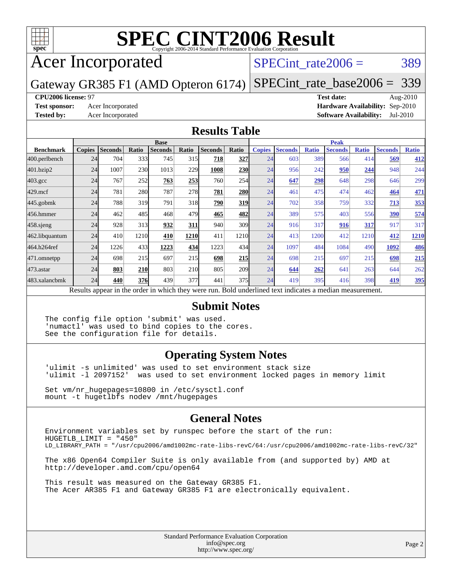

# Acer Incorporated

#### SPECint rate $2006 = 389$

Gateway GR385 F1 (AMD Opteron 6174) [SPECint\\_rate\\_base2006 =](http://www.spec.org/auto/cpu2006/Docs/result-fields.html#SPECintratebase2006) 339

#### **[CPU2006 license:](http://www.spec.org/auto/cpu2006/Docs/result-fields.html#CPU2006license)** 97 **[Test date:](http://www.spec.org/auto/cpu2006/Docs/result-fields.html#Testdate)** Aug-2010

**[Test sponsor:](http://www.spec.org/auto/cpu2006/Docs/result-fields.html#Testsponsor)** Acer Incorporated **[Hardware Availability:](http://www.spec.org/auto/cpu2006/Docs/result-fields.html#HardwareAvailability)** Sep-2010 **[Tested by:](http://www.spec.org/auto/cpu2006/Docs/result-fields.html#Testedby)** Acer Incorporated **[Software Availability:](http://www.spec.org/auto/cpu2006/Docs/result-fields.html#SoftwareAvailability)** Jul-2010

#### **[Results Table](http://www.spec.org/auto/cpu2006/Docs/result-fields.html#ResultsTable)**

|                                                                                                          | <b>Base</b>   |                |       |                |            |                |       |               | <b>Peak</b>    |              |                |              |                |              |  |
|----------------------------------------------------------------------------------------------------------|---------------|----------------|-------|----------------|------------|----------------|-------|---------------|----------------|--------------|----------------|--------------|----------------|--------------|--|
| <b>Benchmark</b>                                                                                         | <b>Copies</b> | <b>Seconds</b> | Ratio | <b>Seconds</b> | Ratio      | <b>Seconds</b> | Ratio | <b>Copies</b> | <b>Seconds</b> | <b>Ratio</b> | <b>Seconds</b> | <b>Ratio</b> | <b>Seconds</b> | <b>Ratio</b> |  |
| 400.perlbench                                                                                            | 24            | 704            | 333   | 745            | 315        | 718            | 327   | 24            | 603            | 389          | 566            | 414          | 569            | 412          |  |
| 401.bzip2                                                                                                | 24            | 1007           | 230   | 1013           | 229        | 1008           | 230   | 24            | 956            | 242          | 950            | 244          | 948            | 244          |  |
| $403.\text{gcc}$                                                                                         | 24            | 767            | 252   | 763            | 253        | 760            | 254   | 24            | 647            | 298          | 648            | 298          | 646            | 299          |  |
| $429$ .mcf                                                                                               | 24            | 781            | 280   | 787            | 278        | 781            | 280   | 24            | 461            | 475          | 474            | 462          | 464            | <u>471</u>   |  |
| $445$ .gobm $k$                                                                                          | 24            | 788            | 319   | 791            | 318        | 790            | 319   | 24            | 702            | 358          | 759            | 332          | 713            | 353          |  |
| 456.hmmer                                                                                                | 24            | 462            | 485   | 468            | 479        | 465            | 482   | 24            | 389            | 575          | 403            | 556          | 390            | 574          |  |
| $458$ .sjeng                                                                                             | 24            | 928            | 313   | 932            | <u>311</u> | 940            | 309   | 24            | 916            | 317          | 916            | 317          | 917            | 317          |  |
| 462.libquantum                                                                                           | 24            | 410            | 1210  | 410            | 1210       | 411            | 1210  | 24            | 413            | 1200         | 412            | 1210         | 412            | 1210         |  |
| 464.h264ref                                                                                              | 24            | 1226           | 433   | 1223           | 434        | 1223           | 434   | 24            | 1097           | 484          | 1084           | 490          | 1092           | <b>486</b>   |  |
| 471.omnetpp                                                                                              | 24            | 698            | 215   | 697            | 215        | 698            | 215   | 24            | 698            | 215          | 697            | 215          | 698            | 215          |  |
| $473$ . astar                                                                                            | 24            | 803            | 210   | 803            | <b>210</b> | 805            | 209   | 24            | 644            | 262          | 641            | 263          | 644            | 262          |  |
| 483.xalancbmk                                                                                            | 24            | 440            | 376   | 439            | 377        | 441            | 375   | 24            | 419            | 395          | 416            | 398          | 419            | <u>395</u>   |  |
| Results appear in the order in which they were run. Bold underlined text indicates a median measurement. |               |                |       |                |            |                |       |               |                |              |                |              |                |              |  |

#### **[Submit Notes](http://www.spec.org/auto/cpu2006/Docs/result-fields.html#SubmitNotes)**

The config file option 'submit' was used. 'numactl' was used to bind copies to the cores. See the configuration file for details.

#### **[Operating System Notes](http://www.spec.org/auto/cpu2006/Docs/result-fields.html#OperatingSystemNotes)**

'ulimit -s unlimited' was used to set environment stack size 'ulimit -l 2097152' was used to set environment locked pages in memory limit

Set vm/nr\_hugepages=10800 in /etc/sysctl.conf mount -t hugetlbfs nodev /mnt/hugepages

#### **[General Notes](http://www.spec.org/auto/cpu2006/Docs/result-fields.html#GeneralNotes)**

Environment variables set by runspec before the start of the run: HUGETLB\_LIMIT = "450" LD\_LIBRARY\_PATH = "/usr/cpu2006/amd1002mc-rate-libs-revC/64:/usr/cpu2006/amd1002mc-rate-libs-revC/32"

The x86 Open64 Compiler Suite is only available from (and supported by) AMD at <http://developer.amd.com/cpu/open64>

This result was measured on the Gateway GR385 F1. The Acer AR385 F1 and Gateway GR385 F1 are electronically equivalent.

> Standard Performance Evaluation Corporation [info@spec.org](mailto:info@spec.org) <http://www.spec.org/>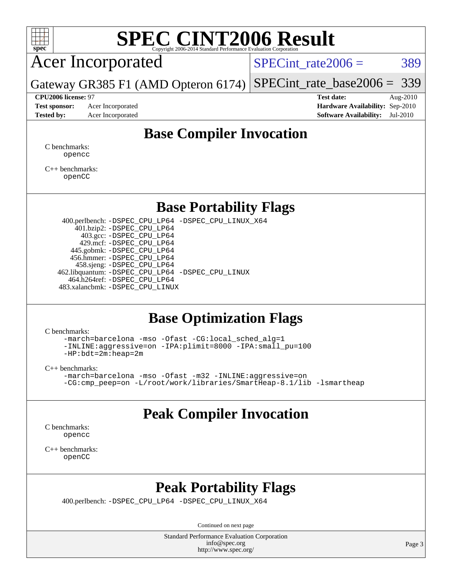

Acer Incorporated

SPECint rate $2006 = 389$ 

Gateway GR385 F1 (AMD Opteron 6174) [SPECint\\_rate\\_base2006 =](http://www.spec.org/auto/cpu2006/Docs/result-fields.html#SPECintratebase2006) 339

**[CPU2006 license:](http://www.spec.org/auto/cpu2006/Docs/result-fields.html#CPU2006license)** 97 **[Test date:](http://www.spec.org/auto/cpu2006/Docs/result-fields.html#Testdate)** Aug-2010 **[Test sponsor:](http://www.spec.org/auto/cpu2006/Docs/result-fields.html#Testsponsor)** Acer Incorporated **[Hardware Availability:](http://www.spec.org/auto/cpu2006/Docs/result-fields.html#HardwareAvailability)** Sep-2010 **[Tested by:](http://www.spec.org/auto/cpu2006/Docs/result-fields.html#Testedby)** Acer Incorporated **[Software Availability:](http://www.spec.org/auto/cpu2006/Docs/result-fields.html#SoftwareAvailability)** Jul-2010

### **[Base Compiler Invocation](http://www.spec.org/auto/cpu2006/Docs/result-fields.html#BaseCompilerInvocation)**

[C benchmarks](http://www.spec.org/auto/cpu2006/Docs/result-fields.html#Cbenchmarks): [opencc](http://www.spec.org/cpu2006/results/res2010q3/cpu2006-20100824-13059.flags.html#user_CCbase_Fopencc)

[C++ benchmarks:](http://www.spec.org/auto/cpu2006/Docs/result-fields.html#CXXbenchmarks) [openCC](http://www.spec.org/cpu2006/results/res2010q3/cpu2006-20100824-13059.flags.html#user_CXXbase_FopenCC)

#### **[Base Portability Flags](http://www.spec.org/auto/cpu2006/Docs/result-fields.html#BasePortabilityFlags)**

 400.perlbench: [-DSPEC\\_CPU\\_LP64](http://www.spec.org/cpu2006/results/res2010q3/cpu2006-20100824-13059.flags.html#b400.perlbench_basePORTABILITY_DSPEC_CPU_LP64) [-DSPEC\\_CPU\\_LINUX\\_X64](http://www.spec.org/cpu2006/results/res2010q3/cpu2006-20100824-13059.flags.html#b400.perlbench_baseCPORTABILITY_DSPEC_CPU_LINUX_X64) 401.bzip2: [-DSPEC\\_CPU\\_LP64](http://www.spec.org/cpu2006/results/res2010q3/cpu2006-20100824-13059.flags.html#suite_basePORTABILITY401_bzip2_DSPEC_CPU_LP64) 403.gcc: [-DSPEC\\_CPU\\_LP64](http://www.spec.org/cpu2006/results/res2010q3/cpu2006-20100824-13059.flags.html#suite_basePORTABILITY403_gcc_DSPEC_CPU_LP64) 429.mcf: [-DSPEC\\_CPU\\_LP64](http://www.spec.org/cpu2006/results/res2010q3/cpu2006-20100824-13059.flags.html#suite_basePORTABILITY429_mcf_DSPEC_CPU_LP64) 445.gobmk: [-DSPEC\\_CPU\\_LP64](http://www.spec.org/cpu2006/results/res2010q3/cpu2006-20100824-13059.flags.html#suite_basePORTABILITY445_gobmk_DSPEC_CPU_LP64) 456.hmmer: [-DSPEC\\_CPU\\_LP64](http://www.spec.org/cpu2006/results/res2010q3/cpu2006-20100824-13059.flags.html#suite_basePORTABILITY456_hmmer_DSPEC_CPU_LP64) 458.sjeng: [-DSPEC\\_CPU\\_LP64](http://www.spec.org/cpu2006/results/res2010q3/cpu2006-20100824-13059.flags.html#suite_basePORTABILITY458_sjeng_DSPEC_CPU_LP64) 462.libquantum: [-DSPEC\\_CPU\\_LP64](http://www.spec.org/cpu2006/results/res2010q3/cpu2006-20100824-13059.flags.html#suite_basePORTABILITY462_libquantum_DSPEC_CPU_LP64) [-DSPEC\\_CPU\\_LINUX](http://www.spec.org/cpu2006/results/res2010q3/cpu2006-20100824-13059.flags.html#b462.libquantum_baseCPORTABILITY_DSPEC_CPU_LINUX) 464.h264ref: [-DSPEC\\_CPU\\_LP64](http://www.spec.org/cpu2006/results/res2010q3/cpu2006-20100824-13059.flags.html#suite_basePORTABILITY464_h264ref_DSPEC_CPU_LP64) 483.xalancbmk: [-DSPEC\\_CPU\\_LINUX](http://www.spec.org/cpu2006/results/res2010q3/cpu2006-20100824-13059.flags.html#b483.xalancbmk_baseCXXPORTABILITY_DSPEC_CPU_LINUX)

### **[Base Optimization Flags](http://www.spec.org/auto/cpu2006/Docs/result-fields.html#BaseOptimizationFlags)**

[C benchmarks](http://www.spec.org/auto/cpu2006/Docs/result-fields.html#Cbenchmarks):

[-march=barcelona](http://www.spec.org/cpu2006/results/res2010q3/cpu2006-20100824-13059.flags.html#user_CCbase_F-march_8ea39521cada96f307a04d0b8b9c6ffb) [-mso](http://www.spec.org/cpu2006/results/res2010q3/cpu2006-20100824-13059.flags.html#user_CCbase_F-mso) [-Ofast](http://www.spec.org/cpu2006/results/res2010q3/cpu2006-20100824-13059.flags.html#user_CCbase_F-Ofast) [-CG:local\\_sched\\_alg=1](http://www.spec.org/cpu2006/results/res2010q3/cpu2006-20100824-13059.flags.html#user_CCbase_F-CG:local_sched_alg_2175ca61f1a2717f1ec57b14995b9e7a) [-INLINE:aggressive=on](http://www.spec.org/cpu2006/results/res2010q3/cpu2006-20100824-13059.flags.html#user_CCbase_F-INLINE:aggressive_e14807c0a1e56a6a83cb25ab07c7ae8a) [-IPA:plimit=8000](http://www.spec.org/cpu2006/results/res2010q3/cpu2006-20100824-13059.flags.html#user_CCbase_F-IPA:plimit_92cba83f3d47f09c7d5368fda93ddbd7) [-IPA:small\\_pu=100](http://www.spec.org/cpu2006/results/res2010q3/cpu2006-20100824-13059.flags.html#user_CCbase_F-IPA:small_pu_900a09767c6929d55c26ea3d32399996) [-HP:bdt=2m:heap=2m](http://www.spec.org/cpu2006/results/res2010q3/cpu2006-20100824-13059.flags.html#user_CCbase_F-HUGEPAGE_855e97383b49831f390a2af16fe7202f)

[C++ benchmarks:](http://www.spec.org/auto/cpu2006/Docs/result-fields.html#CXXbenchmarks)

```
-march=barcelona -mso -Ofast -m32 -INLINE:aggressive=on
-CG:cmp_peep=on -L/root/work/libraries/SmartHeap-8.1/lib -lsmartheap
```
### **[Peak Compiler Invocation](http://www.spec.org/auto/cpu2006/Docs/result-fields.html#PeakCompilerInvocation)**

[C benchmarks](http://www.spec.org/auto/cpu2006/Docs/result-fields.html#Cbenchmarks): [opencc](http://www.spec.org/cpu2006/results/res2010q3/cpu2006-20100824-13059.flags.html#user_CCpeak_Fopencc)

[C++ benchmarks:](http://www.spec.org/auto/cpu2006/Docs/result-fields.html#CXXbenchmarks) [openCC](http://www.spec.org/cpu2006/results/res2010q3/cpu2006-20100824-13059.flags.html#user_CXXpeak_FopenCC)

### **[Peak Portability Flags](http://www.spec.org/auto/cpu2006/Docs/result-fields.html#PeakPortabilityFlags)**

400.perlbench: [-DSPEC\\_CPU\\_LP64](http://www.spec.org/cpu2006/results/res2010q3/cpu2006-20100824-13059.flags.html#b400.perlbench_peakPORTABILITY_DSPEC_CPU_LP64) [-DSPEC\\_CPU\\_LINUX\\_X64](http://www.spec.org/cpu2006/results/res2010q3/cpu2006-20100824-13059.flags.html#b400.perlbench_peakCPORTABILITY_DSPEC_CPU_LINUX_X64)

Continued on next page

Standard Performance Evaluation Corporation [info@spec.org](mailto:info@spec.org) <http://www.spec.org/>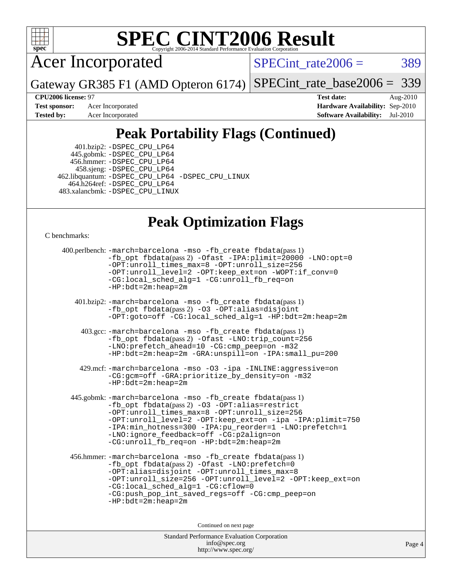

Acer Incorporated

 $SPECTnt_rate2006 = 389$ 

Gateway GR385 F1 (AMD Opteron 6174) [SPECint\\_rate\\_base2006 =](http://www.spec.org/auto/cpu2006/Docs/result-fields.html#SPECintratebase2006) 339

**[CPU2006 license:](http://www.spec.org/auto/cpu2006/Docs/result-fields.html#CPU2006license)** 97 **[Test date:](http://www.spec.org/auto/cpu2006/Docs/result-fields.html#Testdate)** Aug-2010 **[Test sponsor:](http://www.spec.org/auto/cpu2006/Docs/result-fields.html#Testsponsor)** Acer Incorporated **[Hardware Availability:](http://www.spec.org/auto/cpu2006/Docs/result-fields.html#HardwareAvailability)** Sep-2010 **[Tested by:](http://www.spec.org/auto/cpu2006/Docs/result-fields.html#Testedby)** Acer Incorporated **[Software Availability:](http://www.spec.org/auto/cpu2006/Docs/result-fields.html#SoftwareAvailability)** Jul-2010

# **[Peak Portability Flags \(Continued\)](http://www.spec.org/auto/cpu2006/Docs/result-fields.html#PeakPortabilityFlags)**

 401.bzip2: [-DSPEC\\_CPU\\_LP64](http://www.spec.org/cpu2006/results/res2010q3/cpu2006-20100824-13059.flags.html#suite_peakPORTABILITY401_bzip2_DSPEC_CPU_LP64) 445.gobmk: [-DSPEC\\_CPU\\_LP64](http://www.spec.org/cpu2006/results/res2010q3/cpu2006-20100824-13059.flags.html#suite_peakPORTABILITY445_gobmk_DSPEC_CPU_LP64) 456.hmmer: [-DSPEC\\_CPU\\_LP64](http://www.spec.org/cpu2006/results/res2010q3/cpu2006-20100824-13059.flags.html#suite_peakPORTABILITY456_hmmer_DSPEC_CPU_LP64) 458.sjeng: [-DSPEC\\_CPU\\_LP64](http://www.spec.org/cpu2006/results/res2010q3/cpu2006-20100824-13059.flags.html#suite_peakPORTABILITY458_sjeng_DSPEC_CPU_LP64) 462.libquantum: [-DSPEC\\_CPU\\_LP64](http://www.spec.org/cpu2006/results/res2010q3/cpu2006-20100824-13059.flags.html#suite_peakPORTABILITY462_libquantum_DSPEC_CPU_LP64) [-DSPEC\\_CPU\\_LINUX](http://www.spec.org/cpu2006/results/res2010q3/cpu2006-20100824-13059.flags.html#b462.libquantum_peakCPORTABILITY_DSPEC_CPU_LINUX) 464.h264ref: [-DSPEC\\_CPU\\_LP64](http://www.spec.org/cpu2006/results/res2010q3/cpu2006-20100824-13059.flags.html#suite_peakPORTABILITY464_h264ref_DSPEC_CPU_LP64) 483.xalancbmk: [-DSPEC\\_CPU\\_LINUX](http://www.spec.org/cpu2006/results/res2010q3/cpu2006-20100824-13059.flags.html#b483.xalancbmk_peakCXXPORTABILITY_DSPEC_CPU_LINUX)

## **[Peak Optimization Flags](http://www.spec.org/auto/cpu2006/Docs/result-fields.html#PeakOptimizationFlags)**

[C benchmarks](http://www.spec.org/auto/cpu2006/Docs/result-fields.html#Cbenchmarks):

```
 400.perlbench: -march=barcelona -mso -fb_create fbdata(pass 1)
           -fb_opt fbdata(pass 2) -Ofast -IPA:plimit=20000 -LNO:opt=0
           -OPT:unroll_times_max=8 -OPT:unroll_size=256
           -OPT:unroll_level=2 -OPT:keep_ext=on -WOPT:if_conv=0
           -CG:local_sched_alg=1 -CG:unroll_fb_req=on
           -HP:bdt=2m:heap=2m
    401.bzip2: -march=barcelona -mso -fb_create fbdata(pass 1)
           -fb_opt fbdata(pass 2) -O3 -OPT:alias=disjoint
           -OPT:goto=off -CG:local_sched_alg=1 -HP:bdt=2m:heap=2m
     403.gcc: -march=barcelona -mso -fb_create fbdata(pass 1)
           -fb_opt fbdata(pass 2) -Ofast -LNO:trip_count=256
           -LNO:prefetch_ahead=10 -CG:cmp_peep=on -m32
           -HP:bdt=2m:heap=2m -GRA:unspill=on -IPA:small_pu=200
     429.mcf: -march=barcelona -mso -O3 -ipa -INLINE:aggressive=on
           -CG:gcm=off -GRA:prioritize_by_density=on -m32
           -HP:bdt=2m:heap=2m
  445.gobmk: -march=barcelona -mso -fb_create fbdata(pass 1)
           -fb_opt fbdata(pass 2) -O3 -OPT:alias=restrict
           -OPT:unroll_times_max=8 -OPT:unroll_size=256
           -OPT:unroll_level=2 -OPT:keep_ext=on -ipa -IPA:plimit=750
           -IPA:min_hotness=300 -IPA:pu_reorder=1 -LNO:prefetch=1
           -LNO:ignore_feedback=off -CG:p2align=on
           -CG:unroll_fb_req=on -HP:bdt=2m:heap=2m
  456.hmmer: -march=barcelona -mso -fb_create fbdata(pass 1)
           -fb_opt fbdata(pass 2) -Ofast -LNO:prefetch=0
           -OPT:alias=disjoint -OPT:unroll_times_max=8
           -OPT:unroll_size=256 -OPT:unroll_level=2 -OPT:keep_ext=on
           -CG:local_sched_alg=1 -CG:cflow=0
           -CG:push_pop_int_saved_regs=off -CG:cmp_peep=on
           -HP:bdt=2m:heap=2m
                                Continued on next page
```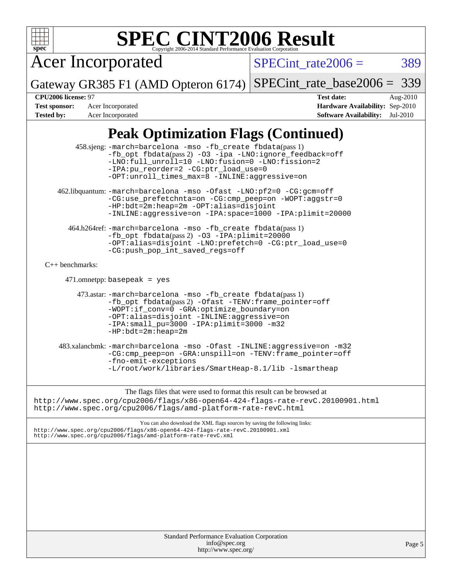

| <b>Standard Performance Evaluation Corporation</b> |
|----------------------------------------------------|
| info@spec.org                                      |
| http://www.spec.org/                               |